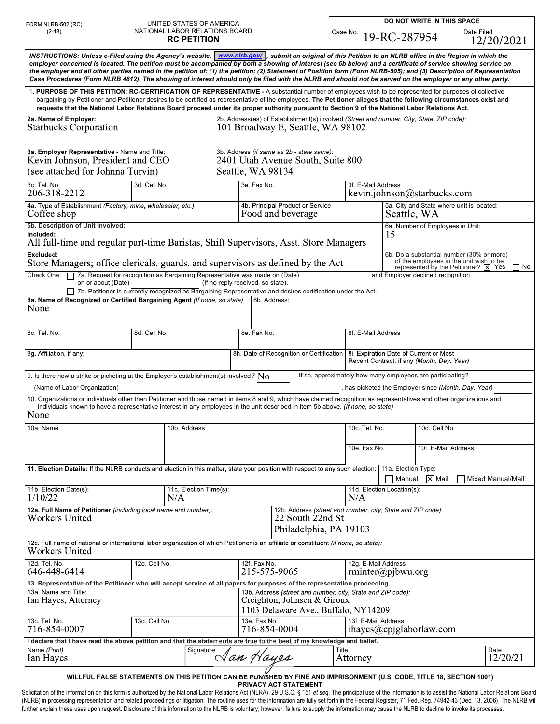| FORM NLRB-502 (RC)<br>$(2-18)$<br>INSTRUCTIONS: Unless e-Filed using the Agency's website, www.nlrb.gov/ submit an original of this Petition to an NLRB office in the Region in which the<br>employer concerned is located. The petition must be accompanied by both a showing of interest (see 6b below) and a certificate of service showing service on<br>the employer and all other parties named in the petition of: (1) the petition; (2) Statement of Position form (Form NLRB-505); and (3) Description of Representation<br>Case Procedures (Form NLRB 4812). The showing of interest should only be filed with the NLRB and should not be served on the employer or any other party.<br>1. PURPOSE OF THIS PETITION: RC-CERTIFICATION OF REPRESENTATIVE - A substantial number of employees wish to be represented for purposes of collective |                                                             | NATIONAL LABOR RELATIONS BOARD<br><b>RC PETITION</b>                            |                                                                                                                                                                                                                                                                                                                         | Case No.                                                                                                                        | 19-RC-287954                                                                                                                                                                             | Date Filed                                           | 12/20/2021        |
|---------------------------------------------------------------------------------------------------------------------------------------------------------------------------------------------------------------------------------------------------------------------------------------------------------------------------------------------------------------------------------------------------------------------------------------------------------------------------------------------------------------------------------------------------------------------------------------------------------------------------------------------------------------------------------------------------------------------------------------------------------------------------------------------------------------------------------------------------------|-------------------------------------------------------------|---------------------------------------------------------------------------------|-------------------------------------------------------------------------------------------------------------------------------------------------------------------------------------------------------------------------------------------------------------------------------------------------------------------------|---------------------------------------------------------------------------------------------------------------------------------|------------------------------------------------------------------------------------------------------------------------------------------------------------------------------------------|------------------------------------------------------|-------------------|
| 2a. Name of Employer:                                                                                                                                                                                                                                                                                                                                                                                                                                                                                                                                                                                                                                                                                                                                                                                                                                   |                                                             |                                                                                 |                                                                                                                                                                                                                                                                                                                         |                                                                                                                                 |                                                                                                                                                                                          |                                                      |                   |
|                                                                                                                                                                                                                                                                                                                                                                                                                                                                                                                                                                                                                                                                                                                                                                                                                                                         |                                                             |                                                                                 |                                                                                                                                                                                                                                                                                                                         |                                                                                                                                 |                                                                                                                                                                                          |                                                      |                   |
|                                                                                                                                                                                                                                                                                                                                                                                                                                                                                                                                                                                                                                                                                                                                                                                                                                                         |                                                             |                                                                                 | bargaining by Petitioner and Petitioner desires to be certified as representative of the employees. The Petitioner alleges that the following circumstances exist and<br>requests that the National Labor Relations Board proceed under its proper authority pursuant to Section 9 of the National Labor Relations Act. |                                                                                                                                 |                                                                                                                                                                                          |                                                      |                   |
| <b>Starbucks Corporation</b>                                                                                                                                                                                                                                                                                                                                                                                                                                                                                                                                                                                                                                                                                                                                                                                                                            |                                                             |                                                                                 | 2b. Address(es) of Establishment(s) involved (Street and number, City, State, ZIP code):<br>101 Broadway E, Seattle, WA 98102                                                                                                                                                                                           |                                                                                                                                 |                                                                                                                                                                                          |                                                      |                   |
| 3a. Employer Representative - Name and Title:<br>Kevin Johnson, President and CEO<br>(see attached for Johnna Turvin)                                                                                                                                                                                                                                                                                                                                                                                                                                                                                                                                                                                                                                                                                                                                   |                                                             |                                                                                 | 3b. Address (if same as 2b - state same):<br>2401 Utah Avenue South, Suite 800<br>Seattle, WA 98134                                                                                                                                                                                                                     |                                                                                                                                 |                                                                                                                                                                                          |                                                      |                   |
| 3c. Tel. No.<br>3d. Cell No.<br>206-318-2212                                                                                                                                                                                                                                                                                                                                                                                                                                                                                                                                                                                                                                                                                                                                                                                                            |                                                             | 3e. Fax No.                                                                     |                                                                                                                                                                                                                                                                                                                         | 3f. E-Mail Address<br>kevin.johnson@starbucks.com                                                                               |                                                                                                                                                                                          |                                                      |                   |
| Coffee shop                                                                                                                                                                                                                                                                                                                                                                                                                                                                                                                                                                                                                                                                                                                                                                                                                                             | 4a. Type of Establishment (Factory, mine, wholesaler, etc.) |                                                                                 | 4b. Principal Product or Service<br>Food and beverage                                                                                                                                                                                                                                                                   |                                                                                                                                 | 5a. City and State where unit is located:<br>Seattle, WA                                                                                                                                 |                                                      |                   |
| 5b. Description of Unit Involved:<br>Included:<br>All full-time and regular part-time Baristas, Shift Supervisors, Asst. Store Managers                                                                                                                                                                                                                                                                                                                                                                                                                                                                                                                                                                                                                                                                                                                 |                                                             |                                                                                 |                                                                                                                                                                                                                                                                                                                         |                                                                                                                                 | 15                                                                                                                                                                                       | 6a. Number of Employees in Unit:                     |                   |
| Excluded:<br>Check One: 7 7a. Request for recognition as Bargaining Representative was made on (Date)                                                                                                                                                                                                                                                                                                                                                                                                                                                                                                                                                                                                                                                                                                                                                   |                                                             | Store Managers; office clericals, guards, and supervisors as defined by the Act |                                                                                                                                                                                                                                                                                                                         |                                                                                                                                 | 6b. Do a substantial number (30% or more)<br>of the employees in the unit wish to be<br>represented by the Petitioner? $\boxed{\times}$ Yes<br>∏ No<br>and Employer declined recognition |                                                      |                   |
| on or about (Date)                                                                                                                                                                                                                                                                                                                                                                                                                                                                                                                                                                                                                                                                                                                                                                                                                                      |                                                             |                                                                                 | (If no reply received, so state).<br>7b. Petitioner is currently recognized as Bargaining Representative and desires certification under the Act.                                                                                                                                                                       |                                                                                                                                 |                                                                                                                                                                                          |                                                      |                   |
| 8a. Name of Recognized or Certified Bargaining Agent (If none, so state)                                                                                                                                                                                                                                                                                                                                                                                                                                                                                                                                                                                                                                                                                                                                                                                |                                                             |                                                                                 | 8b. Address:                                                                                                                                                                                                                                                                                                            |                                                                                                                                 |                                                                                                                                                                                          |                                                      |                   |
| None                                                                                                                                                                                                                                                                                                                                                                                                                                                                                                                                                                                                                                                                                                                                                                                                                                                    |                                                             |                                                                                 |                                                                                                                                                                                                                                                                                                                         |                                                                                                                                 |                                                                                                                                                                                          |                                                      |                   |
| 8c. Tel. No.                                                                                                                                                                                                                                                                                                                                                                                                                                                                                                                                                                                                                                                                                                                                                                                                                                            | 8d. Cell No.                                                |                                                                                 | 8e. Fax No.                                                                                                                                                                                                                                                                                                             | 8f. E-Mail Address                                                                                                              |                                                                                                                                                                                          |                                                      |                   |
| 8g. Affiliation, if any:                                                                                                                                                                                                                                                                                                                                                                                                                                                                                                                                                                                                                                                                                                                                                                                                                                |                                                             |                                                                                 |                                                                                                                                                                                                                                                                                                                         | 8h. Date of Recognition or Certification   8i. Expiration Date of Current or Most<br>Recent Contract, if any (Month, Day, Year) |                                                                                                                                                                                          |                                                      |                   |
| 9. Is there now a strike or picketing at the Employer's establishment(s) involved? $\rm No$                                                                                                                                                                                                                                                                                                                                                                                                                                                                                                                                                                                                                                                                                                                                                             |                                                             |                                                                                 |                                                                                                                                                                                                                                                                                                                         | If so, approximately how many employees are participating?                                                                      |                                                                                                                                                                                          |                                                      |                   |
| (Name of Labor Organization)                                                                                                                                                                                                                                                                                                                                                                                                                                                                                                                                                                                                                                                                                                                                                                                                                            |                                                             |                                                                                 |                                                                                                                                                                                                                                                                                                                         |                                                                                                                                 |                                                                                                                                                                                          | , has picketed the Employer since (Month, Day, Year) |                   |
| 10. Organizations or individuals other than Petitioner and those named in items 8 and 9, which have claimed recognition as representatives and other organizations and<br>None                                                                                                                                                                                                                                                                                                                                                                                                                                                                                                                                                                                                                                                                          |                                                             |                                                                                 | individuals known to have a representative interest in any employees in the unit described in item 5b above. (If none, so state)                                                                                                                                                                                        |                                                                                                                                 |                                                                                                                                                                                          |                                                      |                   |
| 10a. Name                                                                                                                                                                                                                                                                                                                                                                                                                                                                                                                                                                                                                                                                                                                                                                                                                                               |                                                             | 10b. Address                                                                    |                                                                                                                                                                                                                                                                                                                         | 10c. Tel. No.                                                                                                                   |                                                                                                                                                                                          | 10d. Cell No.                                        |                   |
|                                                                                                                                                                                                                                                                                                                                                                                                                                                                                                                                                                                                                                                                                                                                                                                                                                                         |                                                             |                                                                                 |                                                                                                                                                                                                                                                                                                                         | 10e. Fax No.                                                                                                                    |                                                                                                                                                                                          | 10f. E-Mail Address                                  |                   |
| 11. Election Details: If the NLRB conducts and election in this matter, state your position with respect to any such election:                                                                                                                                                                                                                                                                                                                                                                                                                                                                                                                                                                                                                                                                                                                          |                                                             |                                                                                 |                                                                                                                                                                                                                                                                                                                         |                                                                                                                                 | 11a. Election Type:<br>$\sqrt{\phantom{a}}$ Manual $\sqrt{\phantom{a}}$ Mail                                                                                                             |                                                      | Mixed Manual/Mail |
| 11b. Election Date(s):<br>11c. Election Time(s):<br>1/10/22<br>N/A                                                                                                                                                                                                                                                                                                                                                                                                                                                                                                                                                                                                                                                                                                                                                                                      |                                                             |                                                                                 |                                                                                                                                                                                                                                                                                                                         | 11d. Election Location(s):<br>N/A                                                                                               |                                                                                                                                                                                          |                                                      |                   |
| 12a. Full Name of Petitioner (including local name and number):<br>22 South 22nd St<br><b>Workers United</b><br>Philadelphia, PA 19103                                                                                                                                                                                                                                                                                                                                                                                                                                                                                                                                                                                                                                                                                                                  |                                                             |                                                                                 |                                                                                                                                                                                                                                                                                                                         | 12b. Address (street and number, city, State and ZIP code):                                                                     |                                                                                                                                                                                          |                                                      |                   |
| 12c. Full name of national or international labor organization of which Petitioner is an affiliate or constituent (if none, so state):<br><b>Workers United</b>                                                                                                                                                                                                                                                                                                                                                                                                                                                                                                                                                                                                                                                                                         |                                                             |                                                                                 |                                                                                                                                                                                                                                                                                                                         |                                                                                                                                 |                                                                                                                                                                                          |                                                      |                   |
| 12d. Tel. No.<br>646-448-6414                                                                                                                                                                                                                                                                                                                                                                                                                                                                                                                                                                                                                                                                                                                                                                                                                           | 12e. Cell No.                                               |                                                                                 | 12f. Fax No.<br>215-575-9065                                                                                                                                                                                                                                                                                            |                                                                                                                                 | 12g. E-Mail Address<br>$rminter(\alpha)$ pjbwu.org                                                                                                                                       |                                                      |                   |
| 13. Representative of the Petitioner who will accept service of all papers for purposes of the representation proceeding.<br>13a. Name and Title:<br>Ian Hayes, Attorney                                                                                                                                                                                                                                                                                                                                                                                                                                                                                                                                                                                                                                                                                |                                                             |                                                                                 | 13b. Address (street and number, city, State and ZIP code):<br>Creighton, Johnsen & Giroux<br>1103 Delaware Ave., Buffalo, NY14209                                                                                                                                                                                      |                                                                                                                                 |                                                                                                                                                                                          |                                                      |                   |
| 13c. Tel. No.<br>13d. Cell No.<br>716-854-0007                                                                                                                                                                                                                                                                                                                                                                                                                                                                                                                                                                                                                                                                                                                                                                                                          |                                                             |                                                                                 | 13e. Fax No.<br>716-854-0004                                                                                                                                                                                                                                                                                            |                                                                                                                                 | 13f. E-Mail Address<br>ihayes@cpjglaborlaw.com                                                                                                                                           |                                                      |                   |
| I declare that I have read the above petition and that the statements are true to the best of my knowledge and belief.                                                                                                                                                                                                                                                                                                                                                                                                                                                                                                                                                                                                                                                                                                                                  |                                                             |                                                                                 |                                                                                                                                                                                                                                                                                                                         |                                                                                                                                 |                                                                                                                                                                                          |                                                      |                   |
| Name (Print)<br>Ian Hayes                                                                                                                                                                                                                                                                                                                                                                                                                                                                                                                                                                                                                                                                                                                                                                                                                               | Signature                                                   |                                                                                 |                                                                                                                                                                                                                                                                                                                         | Title<br>$\triangleleft$ an Hayes<br>12/20/21<br>Attorney                                                                       |                                                                                                                                                                                          |                                                      | Date              |

PRIVACY ACT STATEMENT Solicitation of the information on this form is authorized by the National Labor Relations Act (NLRA), 29 U.S.C. § 151 et seq. The principal use of the information is to assist the National Labor Relations Board (NLRB) in processing representation and related proceedings or litigation. The routine uses for the information are fully set forth in the Federal Register, 71 Fed. Reg. 74942-43 (Dec. 13, 2006). The NLRB will further explain these uses upon request. Disclosure of this information to the NLRB is voluntary; however, failure to supply the information may cause the NLRB to decline to invoke its processes.